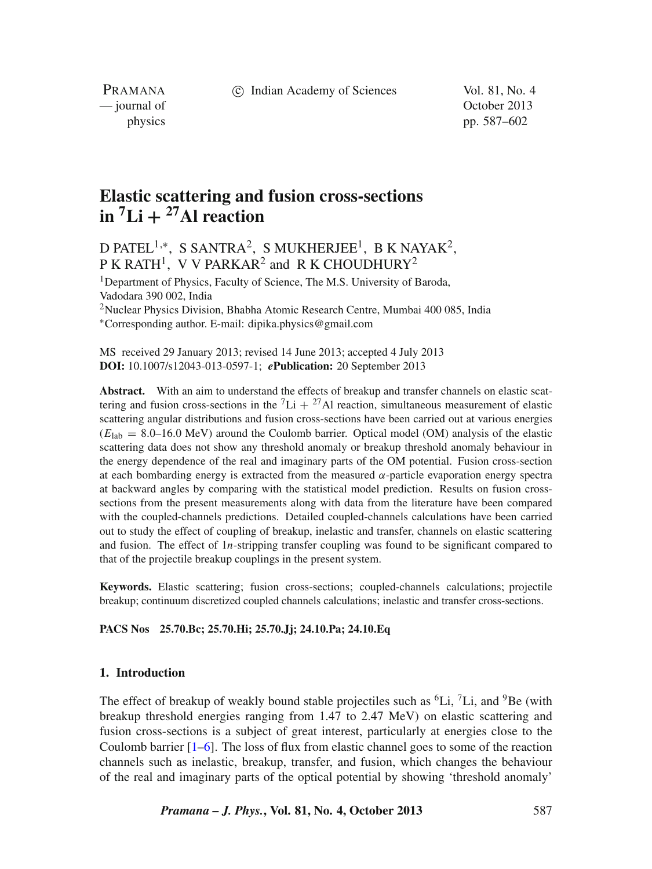c Indian Academy of Sciences Vol. 81, No. 4

PRAMANA — journal of Contract of Contract of Contract of Contract of Contract of Contract of Contract of Contract of Contract of Contract of Contract of Contract of Contract of Contract of Contract of Contract of Contract of Contr

physics pp. 587–602

# **Elastic scattering and fusion cross-sections**  $\sin$ <sup>7</sup>Li + <sup>27</sup>Al reaction

## D PATEL<sup>1,\*</sup>, S SANTRA<sup>2</sup>, S MUKHERJEE<sup>1</sup>, B K NAYAK<sup>2</sup>, P K RATH<sup>1</sup>, V V PARKAR<sup>2</sup> and R K CHOUDHURY<sup>2</sup>

<sup>1</sup>Department of Physics, Faculty of Science, The M.S. University of Baroda, Vadodara 390 002, India 2Nuclear Physics Division, Bhabha Atomic Research Centre, Mumbai 400 085, India <sup>∗</sup>Corresponding author. E-mail: dipika.physics@gmail.com

MS received 29 January 2013; revised 14 June 2013; accepted 4 July 2013 **DOI:** 10.1007/s12043-013-0597-1; *e***Publication:** 20 September 2013

**Abstract.** With an aim to understand the effects of breakup and transfer channels on elastic scattering and fusion cross-sections in the  ${}^{7}Li + {}^{27}Al$  reaction, simultaneous measurement of elastic scattering angular distributions and fusion cross-sections have been carried out at various energies  $(E_{\text{lab}} = 8.0$ –16.0 MeV) around the Coulomb barrier. Optical model (OM) analysis of the elastic scattering data does not show any threshold anomaly or breakup threshold anomaly behaviour in the energy dependence of the real and imaginary parts of the OM potential. Fusion cross-section at each bombarding energy is extracted from the measured  $\alpha$ -particle evaporation energy spectra at backward angles by comparing with the statistical model prediction. Results on fusion crosssections from the present measurements along with data from the literature have been compared with the coupled-channels predictions. Detailed coupled-channels calculations have been carried out to study the effect of coupling of breakup, inelastic and transfer, channels on elastic scattering and fusion. The effect of 1*n*-stripping transfer coupling was found to be significant compared to that of the projectile breakup couplings in the present system.

**Keywords.** Elastic scattering; fusion cross-sections; coupled-channels calculations; projectile breakup; continuum discretized coupled channels calculations; inelastic and transfer cross-sections.

#### **PACS Nos 25.70.Bc; 25.70.Hi; 25.70.Jj; 24.10.Pa; 24.10.Eq**

## **1. Introduction**

The effect of breakup of weakly bound stable projectiles such as  ${}^{6}Li$ ,  ${}^{7}Li$ , and  ${}^{9}Be$  (with breakup threshold energies ranging from 1.47 to 2.47 MeV) on elastic scattering and fusion cross-sections is a subject of great interest, particularly at energies close to the Coulomb barrier [\[1](#page-14-0)[–6\]](#page-14-1). The loss of flux from elastic channel goes to some of the reaction channels such as inelastic, breakup, transfer, and fusion, which changes the behaviour of the real and imaginary parts of the optical potential by showing 'threshold anomaly'

*Pramana – J. Phys.***, Vol. 81, No. 4, October 2013** 587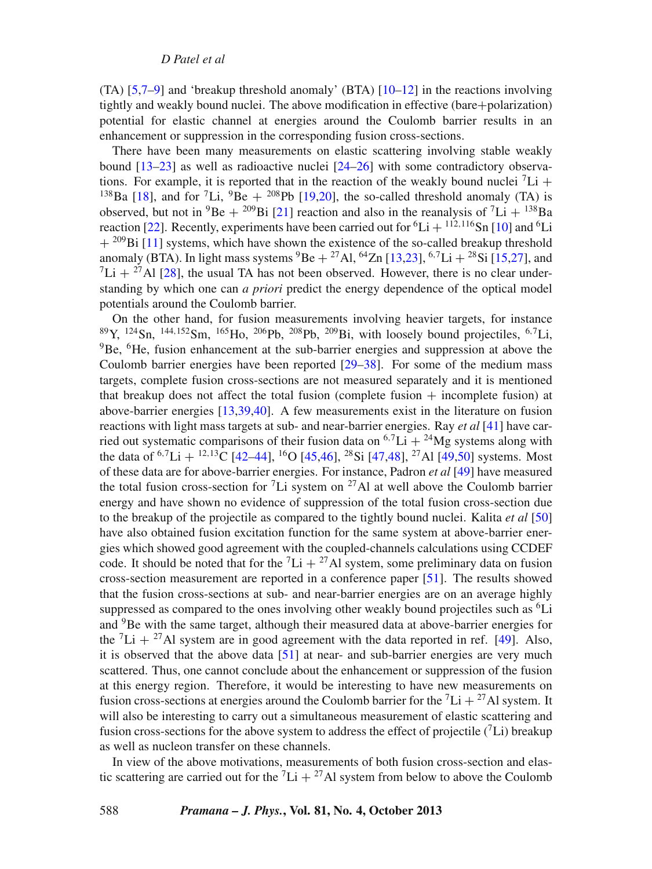(TA) [\[5](#page-14-2)[,7](#page-14-3)[–9](#page-14-4)] and 'breakup threshold anomaly' (BTA) [\[10](#page-14-5)[–12](#page-14-6)] in the reactions involving tightly and weakly bound nuclei. The above modification in effective (bare+polarization) potential for elastic channel at energies around the Coulomb barrier results in an enhancement or suppression in the corresponding fusion cross-sections.

There have been many measurements on elastic scattering involving stable weakly bound [\[13](#page-14-7)[–23\]](#page-14-8) as well as radioactive nuclei [\[24](#page-14-9)[–26](#page-14-10)] with some contradictory observations. For example, it is reported that in the reaction of the weakly bound nuclei  ${}^{7}Li +$ <sup>138</sup>Ba [\[18\]](#page-14-11), and for <sup>7</sup>Li, <sup>9</sup>Be + <sup>208</sup>Pb [\[19](#page-14-12)[,20\]](#page-14-13), the so-called threshold anomaly (TA) is observed, but not in <sup>9</sup>Be + <sup>209</sup>Bi [\[21](#page-14-14)] reaction and also in the reanalysis of <sup>7</sup>Li + <sup>138</sup>Ba reaction [\[22](#page-14-15)]. Recently, experiments have been carried out for  ${}^{6}Li + {}^{112,116}Sn$  [\[10\]](#page-14-5) and  ${}^{6}Li$  $+$  <sup>209</sup>Bi [\[11](#page-14-16)] systems, which have shown the existence of the so-called breakup threshold anomaly (BTA). In light mass systems  ${}^{9}Be + {}^{27}Al$ ,  ${}^{64}Zn$  [\[13](#page-14-7)[,23](#page-14-8)],  ${}^{6,7}Li + {}^{28}Si$  [\[15](#page-14-17)[,27\]](#page-14-18), and  ${}^{7}Li + {}^{27}Al$  [\[28](#page-14-19)], the usual TA has not been observed. However, there is no clear understanding by which one can *a priori* predict the energy dependence of the optical model potentials around the Coulomb barrier.

On the other hand, for fusion measurements involving heavier targets, for instance  $89\text{Y}$ ,  $124\text{Sn}$ ,  $144.152\text{Sm}$ ,  $165\text{Ho}$ ,  $206\text{Pb}$ ,  $208\text{Pb}$ ,  $209\text{Bi}$ , with loosely bound projectiles,  $6.7\text{Li}$ , 9Be, 6He, fusion enhancement at the sub-barrier energies and suppression at above the Coulomb barrier energies have been reported [\[29](#page-14-20)[–38\]](#page-14-21). For some of the medium mass targets, complete fusion cross-sections are not measured separately and it is mentioned that breakup does not affect the total fusion (complete fusion  $+$  incomplete fusion) at above-barrier energies [\[13](#page-14-7)[,39](#page-14-22)[,40\]](#page-14-23). A few measurements exist in the literature on fusion reactions with light mass targets at sub- and near-barrier energies. Ray *et al* [\[41\]](#page-14-24) have carried out systematic comparisons of their fusion data on  ${}^{6,7}Li + {}^{24}Mg$  systems along with the data of <sup>6,7</sup>Li + <sup>12,13</sup>C [\[42](#page-15-0)[–44](#page-15-1)], <sup>16</sup>O [\[45](#page-15-2)[,46\]](#page-15-3), <sup>28</sup>Si [\[47](#page-15-4)[,48\]](#page-15-5), <sup>27</sup>Al [\[49](#page-15-6)[,50](#page-15-7)] systems. Most of these data are for above-barrier energies. For instance, Padron *et al* [\[49\]](#page-15-6) have measured the total fusion cross-section for  ${}^{7}$ Li system on  ${}^{27}$ Al at well above the Coulomb barrier energy and have shown no evidence of suppression of the total fusion cross-section due to the breakup of the projectile as compared to the tightly bound nuclei. Kalita *et al* [\[50\]](#page-15-7) have also obtained fusion excitation function for the same system at above-barrier energies which showed good agreement with the coupled-channels calculations using CCDEF code. It should be noted that for the <sup>7</sup>Li + <sup>27</sup>Al system, some preliminary data on fusion cross-section measurement are reported in a conference paper [\[51\]](#page-15-8). The results showed that the fusion cross-sections at sub- and near-barrier energies are on an average highly suppressed as compared to the ones involving other weakly bound projectiles such as <sup>6</sup>Li and <sup>9</sup>Be with the same target, although their measured data at above-barrier energies for the  ${}^{7}Li + {}^{27}Al$  system are in good agreement with the data reported in ref. [\[49](#page-15-6)]. Also, it is observed that the above data [\[51\]](#page-15-8) at near- and sub-barrier energies are very much scattered. Thus, one cannot conclude about the enhancement or suppression of the fusion at this energy region. Therefore, it would be interesting to have new measurements on fusion cross-sections at energies around the Coulomb barrier for the  ${}^{7}Li + {}^{27}Al$  system. It will also be interesting to carry out a simultaneous measurement of elastic scattering and fusion cross-sections for the above system to address the effect of projectile  $(7Li)$  breakup as well as nucleon transfer on these channels.

In view of the above motivations, measurements of both fusion cross-section and elastic scattering are carried out for the  ${}^{7}Li + {}^{27}Al$  system from below to above the Coulomb

588 *Pramana – J. Phys.***, Vol. 81, No. 4, October 2013**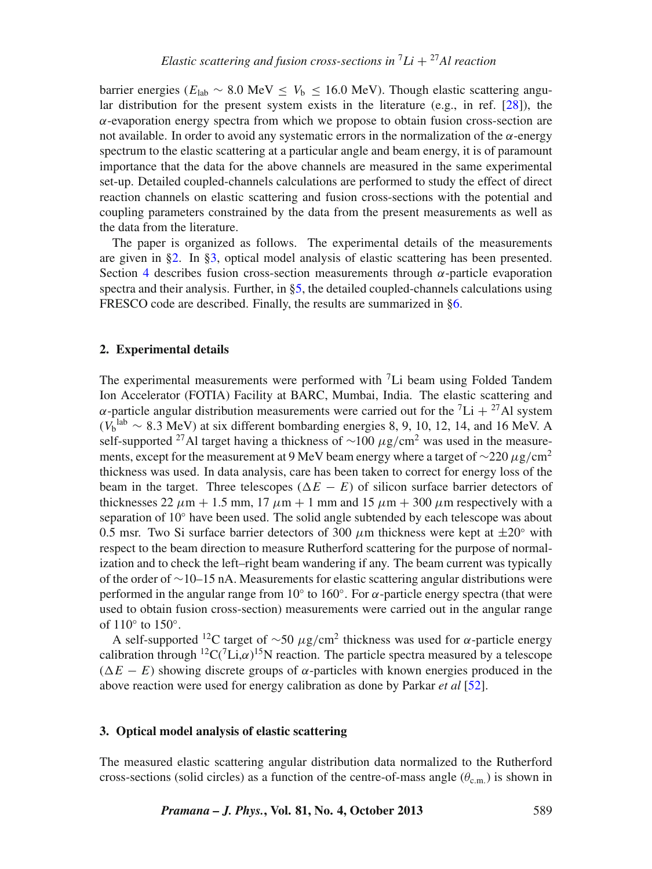barrier energies ( $E_{lab}$  ∼ 8.0 MeV <  $V_b$  < 16.0 MeV). Though elastic scattering angular distribution for the present system exists in the literature (e.g., in ref. [\[28](#page-14-19)]), the  $\alpha$ -evaporation energy spectra from which we propose to obtain fusion cross-section are not available. In order to avoid any systematic errors in the normalization of the  $\alpha$ -energy spectrum to the elastic scattering at a particular angle and beam energy, it is of paramount importance that the data for the above channels are measured in the same experimental set-up. Detailed coupled-channels calculations are performed to study the effect of direct reaction channels on elastic scattering and fusion cross-sections with the potential and coupling parameters constrained by the data from the present measurements as well as the data from the literature.

The paper is organized as follows. The experimental details of the measurements are given in [§2.](#page-2-0) In [§3,](#page-2-1) optical model analysis of elastic scattering has been presented. Section [4](#page-5-0) describes fusion cross-section measurements through  $\alpha$ -particle evaporation spectra and their analysis. Further, in  $\S$ 5, the detailed coupled-channels calculations using FRESCO code are described. Finally, the results are summarized in  $\S6$ .

### <span id="page-2-0"></span>**2. Experimental details**

The experimental measurements were performed with  ${}^{7}$ Li beam using Folded Tandem Ion Accelerator (FOTIA) Facility at BARC, Mumbai, India. The elastic scattering and α-particle angular distribution measurements were carried out for the <sup>7</sup>Li + <sup>27</sup>Al system  $(V_b^{\text{lab}} \sim 8.3 \text{ MeV})$  at six different bombarding energies 8, 9, 10, 12, 14, and 16 MeV. A self-supported <sup>27</sup>Al target having a thickness of  $\sim$ 100  $\mu$ g/cm<sup>2</sup> was used in the measurements, except for the measurement at 9 MeV beam energy where a target of  $\sim$ 220  $\mu$ g/cm<sup>2</sup> thickness was used. In data analysis, care has been taken to correct for energy loss of the beam in the target. Three telescopes ( $\Delta E - E$ ) of silicon surface barrier detectors of thicknesses 22  $\mu$ m + 1.5 mm, 17  $\mu$ m + 1 mm and 15  $\mu$ m + 300  $\mu$ m respectively with a separation of 10° have been used. The solid angle subtended by each telescope was about 0.5 msr. Two Si surface barrier detectors of 300  $\mu$ m thickness were kept at  $\pm 20^\circ$  with respect to the beam direction to measure Rutherford scattering for the purpose of normalization and to check the left–right beam wandering if any. The beam current was typically of the order of ∼10–15 nA. Measurements for elastic scattering angular distributions were performed in the angular range from 10 $\degree$  to 160 $\degree$ . For  $\alpha$ -particle energy spectra (that were used to obtain fusion cross-section) measurements were carried out in the angular range of 110◦ to 150◦.

A self-supported <sup>12</sup>C target of ~50  $\mu$ g/cm<sup>2</sup> thickness was used for α-particle energy calibration through  ${}^{12}C({}^{7}Li,\alpha){}^{15}N$  reaction. The particle spectra measured by a telescope  $(\Delta E - E)$  showing discrete groups of  $\alpha$ -particles with known energies produced in the above reaction were used for energy calibration as done by Parkar *et al* [\[52](#page-15-9)].

## <span id="page-2-1"></span>**3. Optical model analysis of elastic scattering**

The measured elastic scattering angular distribution data normalized to the Rutherford cross-sections (solid circles) as a function of the centre-of-mass angle  $(\theta_{c,m})$  is shown in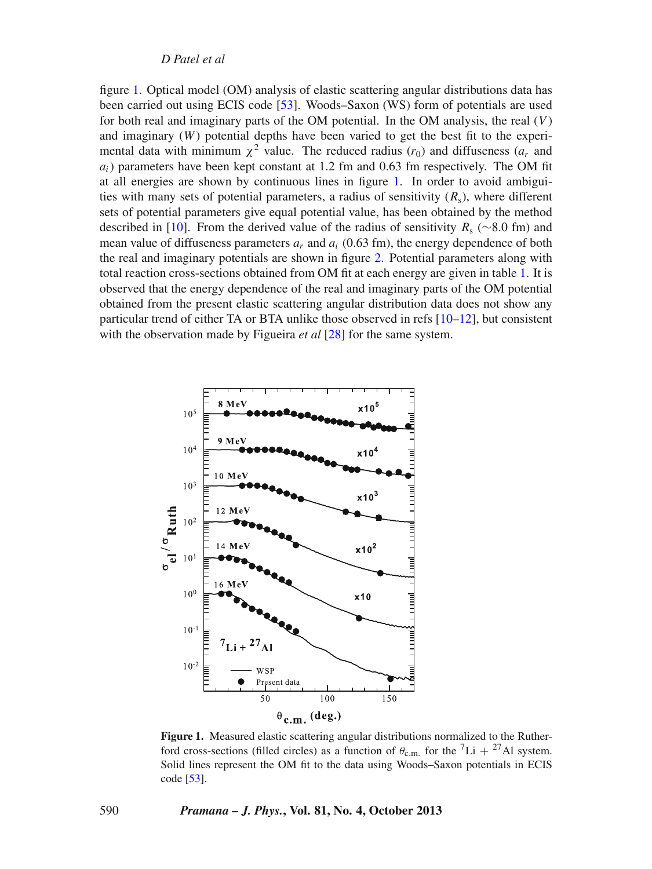## *D Patel et al*

figure [1.](#page-3-0) Optical model (OM) analysis of elastic scattering angular distributions data has been carried out using ECIS code [\[53\]](#page-15-10). Woods–Saxon (WS) form of potentials are used for both real and imaginary parts of the OM potential. In the OM analysis, the real (*V*) and imaginary (*W*) potential depths have been varied to get the best fit to the experimental data with minimum  $\chi^2$  value. The reduced radius  $(r_0)$  and diffuseness  $(a_r$  and  $a_i$ ) parameters have been kept constant at 1.2 fm and 0.63 fm respectively. The OM fit at all energies are shown by continuous lines in figure [1.](#page-3-0) In order to avoid ambiguities with many sets of potential parameters, a radius of sensitivity  $(R_s)$ , where different sets of potential parameters give equal potential value, has been obtained by the method described in [\[10](#page-14-5)]. From the derived value of the radius of sensitivity *R*<sup>s</sup> (∼8.0 fm) and mean value of diffuseness parameters  $a_r$  and  $a_i$  (0.63 fm), the energy dependence of both the real and imaginary potentials are shown in figure [2.](#page-4-0) Potential parameters along with total reaction cross-sections obtained from OM fit at each energy are given in table [1.](#page-4-1) It is observed that the energy dependence of the real and imaginary parts of the OM potential obtained from the present elastic scattering angular distribution data does not show any particular trend of either TA or BTA unlike those observed in refs [\[10](#page-14-5)[–12](#page-14-6)], but consistent with the observation made by Figueira *et al* [\[28\]](#page-14-19) for the same system.

<span id="page-3-0"></span>

**Figure 1.** Measured elastic scattering angular distributions normalized to the Rutherford cross-sections (filled circles) as a function of  $\theta_{c.m.}$  for the  ${}^{7}Li + {}^{27}Al$  system. Solid lines represent the OM fit to the data using Woods–Saxon potentials in ECIS code [\[53\]](#page-15-10).

#### 590 *Pramana – J. Phys.***, Vol. 81, No. 4, October 2013**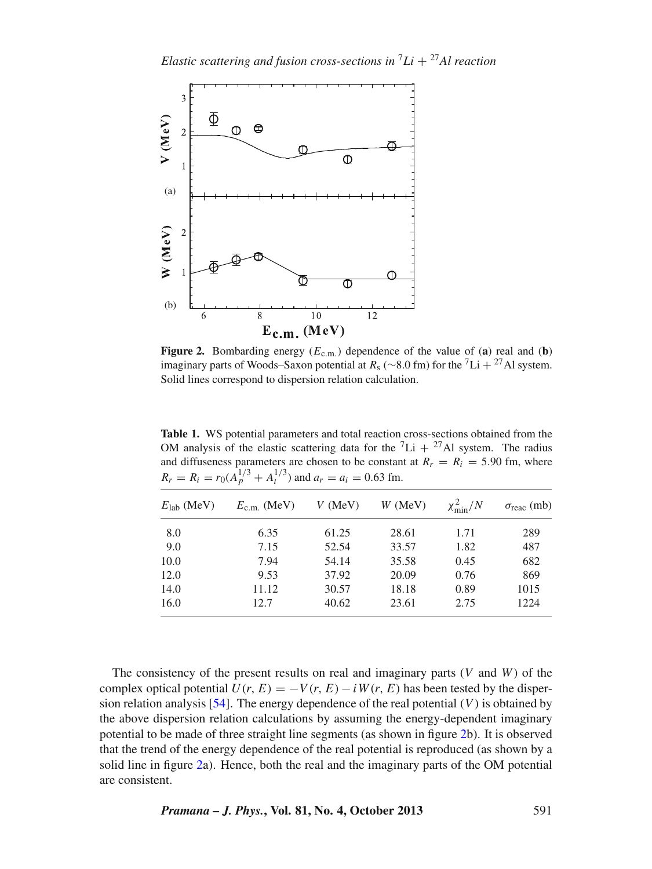<span id="page-4-0"></span>

**Figure 2.** Bombarding energy  $(E_{c.m.})$  dependence of the value of (**a**) real and (**b**) imaginary parts of Woods–Saxon potential at *R*<sup>s</sup> (∼8.0 fm) for the 7Li + 27Al system. Solid lines correspond to dispersion relation calculation.

<span id="page-4-1"></span>**Table 1.** WS potential parameters and total reaction cross-sections obtained from the OM analysis of the elastic scattering data for the  ${}^{7}Li + {}^{27}Al$  system. The radius and diffuseness parameters are chosen to be constant at  $R_r = R_i = 5.90$  fm, where  $R_r = R_i = r_0 (A_p^{1/3} + A_t^{1/3})$  and  $a_r = a_i = 0.63$  fm.

| $E_{\rm lab}$ (MeV) | $E_{\rm c.m.}$ (MeV) | $V$ (MeV) | $W$ (MeV) | $\chi^2_{\rm min}/N$ | $\sigma_{\text{reac}}$ (mb) |
|---------------------|----------------------|-----------|-----------|----------------------|-----------------------------|
| 8.0                 | 6.35                 | 61.25     | 28.61     | 1.71                 | 289                         |
| 9.0                 | 7.15                 | 52.54     | 33.57     | 1.82                 | 487                         |
| 10.0                | 7.94                 | 54.14     | 35.58     | 0.45                 | 682                         |
| 12.0                | 9.53                 | 37.92     | 20.09     | 0.76                 | 869                         |
| 14.0                | 11.12                | 30.57     | 18.18     | 0.89                 | 1015                        |
| 16.0                | 12.7                 | 40.62     | 23.61     | 2.75                 | 1224                        |

The consistency of the present results on real and imaginary parts (*V* and *W*) of the complex optical potential  $U(r, E) = -V(r, E) - iW(r, E)$  has been tested by the dispersion relation analysis  $[54]$ . The energy dependence of the real potential  $(V)$  is obtained by the above dispersion relation calculations by assuming the energy-dependent imaginary potential to be made of three straight line segments (as shown in figure [2b](#page-4-0)). It is observed that the trend of the energy dependence of the real potential is reproduced (as shown by a solid line in figure [2a](#page-4-0)). Hence, both the real and the imaginary parts of the OM potential are consistent.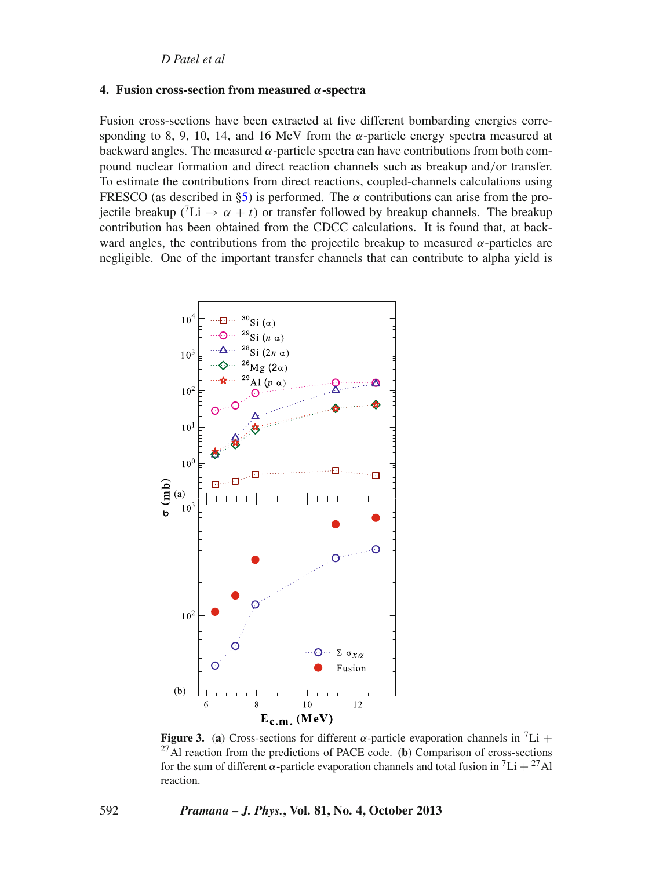## *D Patel et al*

#### <span id="page-5-0"></span>**4. Fusion cross-section from measured** *α***-spectra**

Fusion cross-sections have been extracted at five different bombarding energies corresponding to 8, 9, 10, 14, and 16 MeV from the  $\alpha$ -particle energy spectra measured at backward angles. The measured  $\alpha$ -particle spectra can have contributions from both compound nuclear formation and direct reaction channels such as breakup and/or transfer. To estimate the contributions from direct reactions, coupled-channels calculations using FRESCO (as described in [§5\)](#page-9-0) is performed. The  $\alpha$  contributions can arise from the projectile breakup (7Li → α + *t*) or transfer followed by breakup channels. The breakup contribution has been obtained from the CDCC calculations. It is found that, at backward angles, the contributions from the projectile breakup to measured  $\alpha$ -particles are negligible. One of the important transfer channels that can contribute to alpha yield is

<span id="page-5-1"></span>

**Figure 3.** (a) Cross-sections for different  $\alpha$ -particle evaporation channels in <sup>7</sup>Li + 27Al reaction from the predictions of PACE code. (**b**) Comparison of cross-sections for the sum of different  $\alpha$ -particle evaporation channels and total fusion in  ${}^{7}Li + {}^{27}Al$ reaction.

## 592 *Pramana – J. Phys.***, Vol. 81, No. 4, October 2013**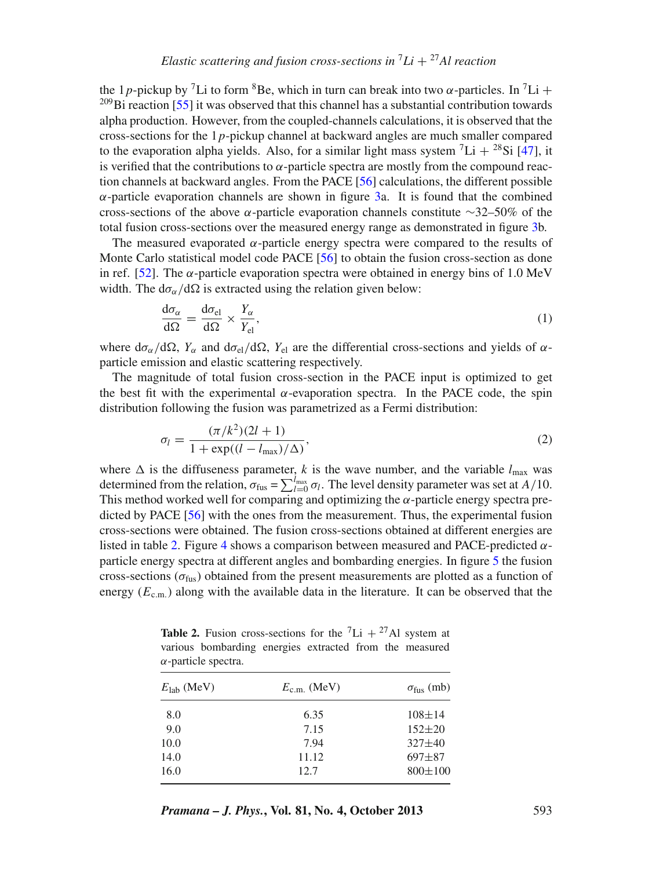the 1*p*-pickup by <sup>7</sup>Li to form <sup>8</sup>Be, which in turn can break into two  $\alpha$ -particles. In <sup>7</sup>Li +  $^{209}$ Bi reaction [\[55](#page-15-12)] it was observed that this channel has a substantial contribution towards alpha production. However, from the coupled-channels calculations, it is observed that the cross-sections for the 1*p*-pickup channel at backward angles are much smaller compared to the evaporation alpha yields. Also, for a similar light mass system  ${}^{7}Li + {}^{28}Si$  [\[47\]](#page-15-4), it is verified that the contributions to  $\alpha$ -particle spectra are mostly from the compound reaction channels at backward angles. From the PACE [\[56](#page-15-13)] calculations, the different possible  $\alpha$ -particle evaporation channels are shown in figure [3a](#page-5-1). It is found that the combined cross-sections of the above  $\alpha$ -particle evaporation channels constitute ∼32–50% of the total fusion cross-sections over the measured energy range as demonstrated in figure [3b](#page-5-1).

The measured evaporated  $\alpha$ -particle energy spectra were compared to the results of Monte Carlo statistical model code PACE [\[56\]](#page-15-13) to obtain the fusion cross-section as done in ref. [\[52\]](#page-15-9). The  $\alpha$ -particle evaporation spectra were obtained in energy bins of 1.0 MeV width. The  $d\sigma_{\alpha}/d\Omega$  is extracted using the relation given below:

$$
\frac{d\sigma_{\alpha}}{d\Omega} = \frac{d\sigma_{\rm el}}{d\Omega} \times \frac{Y_{\alpha}}{Y_{\rm el}},\tag{1}
$$

where  $d\sigma_\alpha/d\Omega$ ,  $Y_\alpha$  and  $d\sigma_{el}/d\Omega$ ,  $Y_{el}$  are the differential cross-sections and yields of  $\alpha$ particle emission and elastic scattering respectively.

The magnitude of total fusion cross-section in the PACE input is optimized to get the best fit with the experimental  $\alpha$ -evaporation spectra. In the PACE code, the spin distribution following the fusion was parametrized as a Fermi distribution:

$$
\sigma_l = \frac{(\pi/k^2)(2l+1)}{1 + \exp((l - l_{\text{max}})/\Delta)},
$$
\n(2)

where  $\Delta$  is the diffuseness parameter, *k* is the wave number, and the variable  $l_{\text{max}}$  was determined from the relation,  $\sigma_{\text{fus}} = \sum_{l=0}^{l_{\text{max}}} \sigma_l$ . The level density parameter was set at *A*/10. This method worked well for comparing and optimizing the  $\alpha$ -particle energy spectra predicted by PACE [\[56](#page-15-13)] with the ones from the measurement. Thus, the experimental fusion cross-sections were obtained. The fusion cross-sections obtained at different energies are listed in table [2.](#page-6-0) Figure [4](#page-7-0) shows a comparison between measured and PACE-predicted  $\alpha$ particle energy spectra at different angles and bombarding energies. In figure [5](#page-8-0) the fusion cross-sections ( $\sigma_{\text{fus}}$ ) obtained from the present measurements are plotted as a function of energy ( $E_{\text{c.m.}}$ ) along with the available data in the literature. It can be observed that the

<span id="page-6-0"></span>**Table 2.** Fusion cross-sections for the  ${}^{7}Li + {}^{27}Al$  system at various bombarding energies extracted from the measured α-particle spectra.

| $E_{\rm lab}$ (MeV) | $E_{\rm c.m.}$ (MeV) | $\sigma_{\text{fus}}$ (mb) |
|---------------------|----------------------|----------------------------|
| 8.0                 | 6.35                 | $108 + 14$                 |
| 9.0                 | 7.15                 | $152 + 20$                 |
| 10.0                | 7.94                 | $327 + 40$                 |
| 14.0                | 11.12                | $697 + 87$                 |
| 16.0                | 12.7                 | $800 \pm 100$              |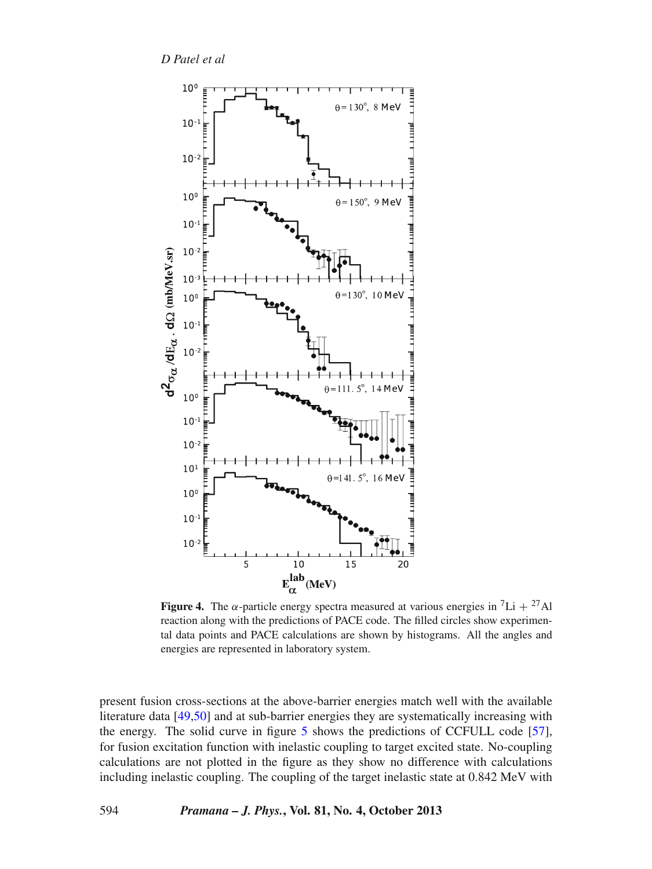<span id="page-7-0"></span>

**Figure 4.** The  $\alpha$ -particle energy spectra measured at various energies in <sup>7</sup>Li + <sup>27</sup>Al reaction along with the predictions of PACE code. The filled circles show experimental data points and PACE calculations are shown by histograms. All the angles and energies are represented in laboratory system.

present fusion cross-sections at the above-barrier energies match well with the available literature data [\[49](#page-15-6)[,50\]](#page-15-7) and at sub-barrier energies they are systematically increasing with the energy. The solid curve in figure [5](#page-8-0) shows the predictions of CCFULL code [\[57](#page-15-14)], for fusion excitation function with inelastic coupling to target excited state. No-coupling calculations are not plotted in the figure as they show no difference with calculations including inelastic coupling. The coupling of the target inelastic state at 0.842 MeV with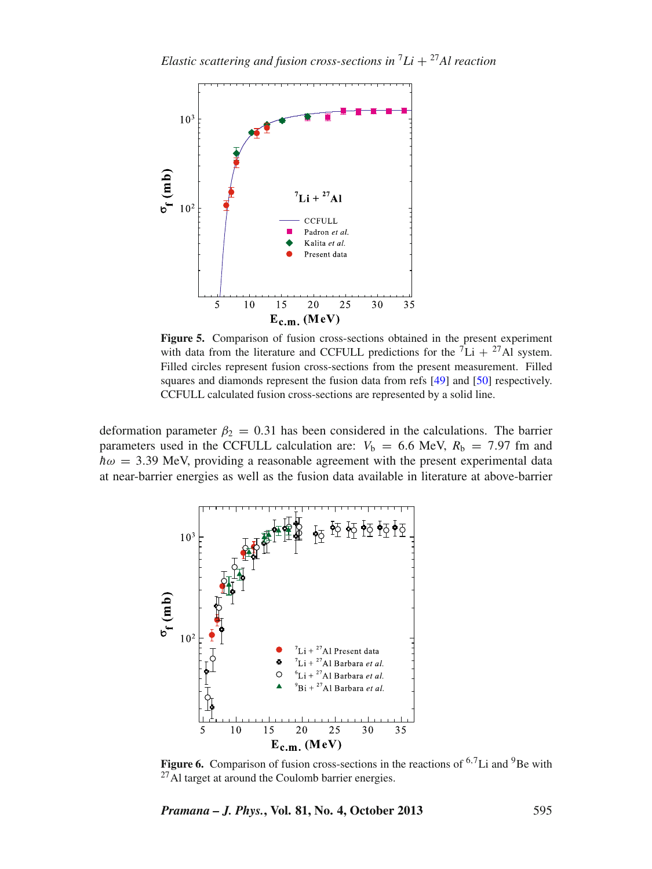<span id="page-8-0"></span>

**Figure 5.** Comparison of fusion cross-sections obtained in the present experiment with data from the literature and CCFULL predictions for the  ${}^{7}Li + {}^{27}Ai$  system. Filled circles represent fusion cross-sections from the present measurement. Filled squares and diamonds represent the fusion data from refs [\[49\]](#page-15-6) and [\[50\]](#page-15-7) respectively. CCFULL calculated fusion cross-sections are represented by a solid line.

deformation parameter  $\beta_2 = 0.31$  has been considered in the calculations. The barrier parameters used in the CCFULL calculation are:  $V_b = 6.6$  MeV,  $R_b = 7.97$  fm and  $h\omega = 3.39$  MeV, providing a reasonable agreement with the present experimental data at near-barrier energies as well as the fusion data available in literature at above-barrier

<span id="page-8-1"></span>

Figure 6. Comparison of fusion cross-sections in the reactions of <sup>6,7</sup>Li and <sup>9</sup>Be with  $27$ Al target at around the Coulomb barrier energies.

*Pramana – J. Phys.***, Vol. 81, No. 4, October 2013** 595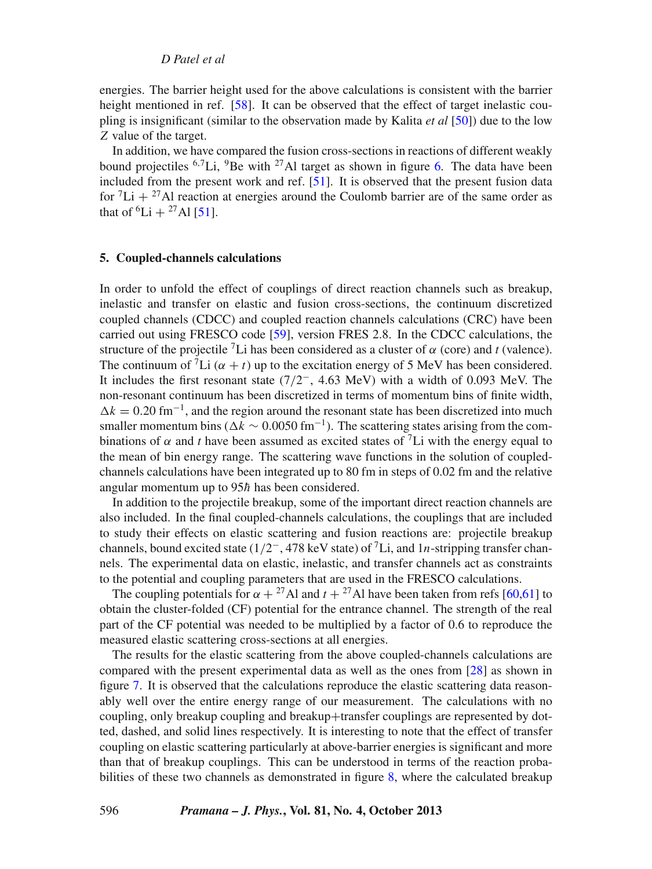## *D Patel et al*

energies. The barrier height used for the above calculations is consistent with the barrier height mentioned in ref. [\[58\]](#page-15-15). It can be observed that the effect of target inelastic coupling is insignificant (similar to the observation made by Kalita *et al* [\[50](#page-15-7)]) due to the low *Z* value of the target.

In addition, we have compared the fusion cross-sections in reactions of different weakly bound projectiles  $6.7$  $6.7$ Li,  $9$ Be with  $27$ Al target as shown in figure 6. The data have been included from the present work and ref. [\[51](#page-15-8)]. It is observed that the present fusion data for  ${}^{7}Li + {}^{27}Al$  reaction at energies around the Coulomb barrier are of the same order as that of  ${}^{6}Li + {}^{27}Al$  [\[51\]](#page-15-8).

## <span id="page-9-0"></span>**5. Coupled-channels calculations**

In order to unfold the effect of couplings of direct reaction channels such as breakup, inelastic and transfer on elastic and fusion cross-sections, the continuum discretized coupled channels (CDCC) and coupled reaction channels calculations (CRC) have been carried out using FRESCO code [\[59](#page-15-16)], version FRES 2.8. In the CDCC calculations, the structure of the projectile <sup>7</sup>Li has been considered as a cluster of  $\alpha$  (core) and *t* (valence). The continuum of <sup>7</sup>Li  $(\alpha + t)$  up to the excitation energy of 5 MeV has been considered. It includes the first resonant state  $(7/2^-, 4.63 \text{ MeV})$  with a width of 0.093 MeV. The non-resonant continuum has been discretized in terms of momentum bins of finite width,  $\Delta k = 0.20$  fm<sup>-1</sup>, and the region around the resonant state has been discretized into much smaller momentum bins ( $\Delta k \sim 0.0050$  fm<sup>-1</sup>). The scattering states arising from the combinations of  $\alpha$  and *t* have been assumed as excited states of <sup>7</sup>Li with the energy equal to the mean of bin energy range. The scattering wave functions in the solution of coupledchannels calculations have been integrated up to 80 fm in steps of 0.02 fm and the relative angular momentum up to  $95<sup>h</sup>$  has been considered.

In addition to the projectile breakup, some of the important direct reaction channels are also included. In the final coupled-channels calculations, the couplings that are included to study their effects on elastic scattering and fusion reactions are: projectile breakup channels, bound excited state (1/2<sup>−</sup>, 478 keV state) of 7Li, and 1*n*-stripping transfer channels. The experimental data on elastic, inelastic, and transfer channels act as constraints to the potential and coupling parameters that are used in the FRESCO calculations.

The coupling potentials for  $\alpha + {}^{27}\text{Al}$  and  $t + {}^{27}\text{Al}$  have been taken from refs [\[60](#page-15-17)[,61\]](#page-15-18) to obtain the cluster-folded (CF) potential for the entrance channel. The strength of the real part of the CF potential was needed to be multiplied by a factor of 0.6 to reproduce the measured elastic scattering cross-sections at all energies.

The results for the elastic scattering from the above coupled-channels calculations are compared with the present experimental data as well as the ones from [\[28\]](#page-14-19) as shown in figure [7.](#page-10-0) It is observed that the calculations reproduce the elastic scattering data reasonably well over the entire energy range of our measurement. The calculations with no coupling, only breakup coupling and breakup+transfer couplings are represented by dotted, dashed, and solid lines respectively. It is interesting to note that the effect of transfer coupling on elastic scattering particularly at above-barrier energies is significant and more than that of breakup couplings. This can be understood in terms of the reaction probabilities of these two channels as demonstrated in figure [8,](#page-11-0) where the calculated breakup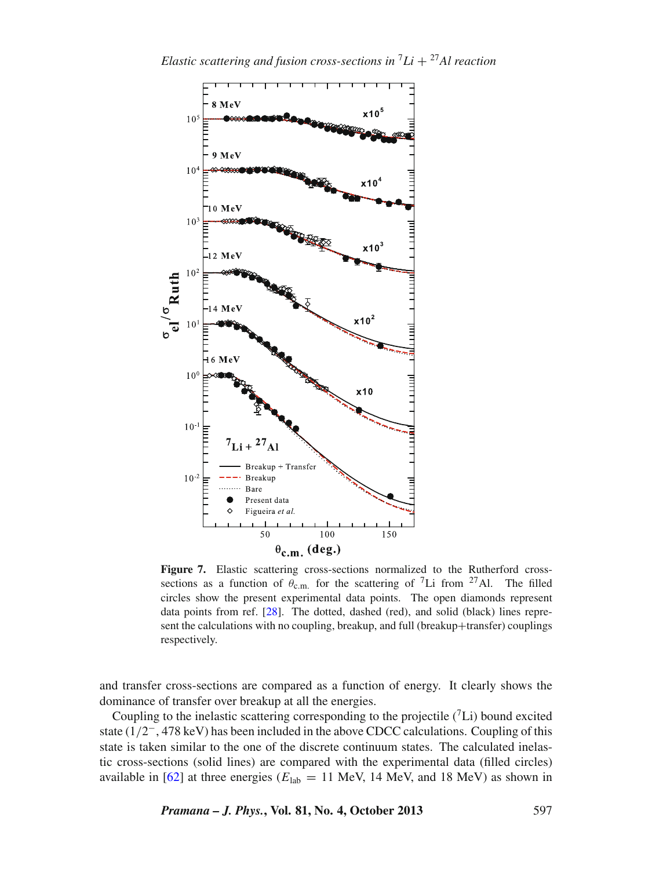<span id="page-10-0"></span>

Figure 7. Elastic scattering cross-sections normalized to the Rutherford crosssections as a function of  $\theta_{\rm cm}$  for the scattering of <sup>7</sup>Li from <sup>27</sup>Al. The filled circles show the present experimental data points. The open diamonds represent data points from ref. [\[28](#page-14-19)]. The dotted, dashed (red), and solid (black) lines represent the calculations with no coupling, breakup, and full (breakup+transfer) couplings respectively.

and transfer cross-sections are compared as a function of energy. It clearly shows the dominance of transfer over breakup at all the energies.

Coupling to the inelastic scattering corresponding to the projectile  $({}^7\text{Li})$  bound excited state (1/2<sup>−</sup>, 478 keV) has been included in the above CDCC calculations. Coupling of this state is taken similar to the one of the discrete continuum states. The calculated inelastic cross-sections (solid lines) are compared with the experimental data (filled circles) available in [\[62\]](#page-15-19) at three energies ( $E_{lab} = 11$  MeV, 14 MeV, and 18 MeV) as shown in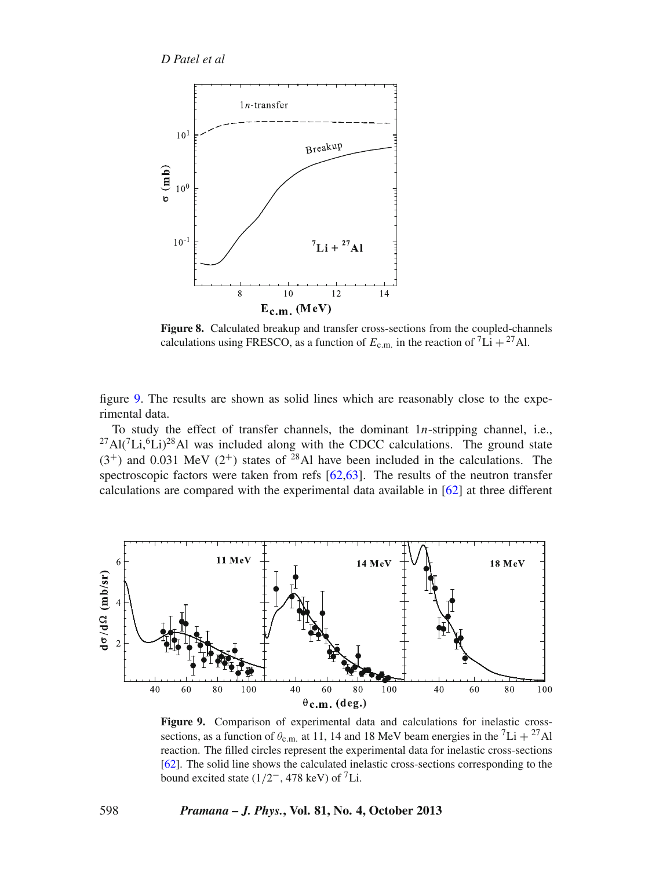<span id="page-11-0"></span>

**Figure 8.** Calculated breakup and transfer cross-sections from the coupled-channels calculations using FRESCO, as a function of  $E_{\text{c.m.}}$  in the reaction of <sup>7</sup>Li + <sup>27</sup>Al.

figure [9.](#page-11-1) The results are shown as solid lines which are reasonably close to the experimental data.

To study the effect of transfer channels, the dominant 1*n*-stripping channel, i.e.,  $^{27}$ Al( $^{7}$ Li, $^{6}$ Li)<sup>28</sup>Al was included along with the CDCC calculations. The ground state  $(3^+)$  and 0.031 MeV  $(2^+)$  states of <sup>28</sup>Al have been included in the calculations. The spectroscopic factors were taken from refs [\[62](#page-15-19)[,63\]](#page-15-20). The results of the neutron transfer calculations are compared with the experimental data available in [\[62\]](#page-15-19) at three different

<span id="page-11-1"></span>

**Figure 9.** Comparison of experimental data and calculations for inelastic crosssections, as a function of  $\theta_{\rm c.m.}$  at 11, 14 and 18 MeV beam energies in the  $^7$ Li +  $^{27}$ Al reaction. The filled circles represent the experimental data for inelastic cross-sections [\[62\]](#page-15-19). The solid line shows the calculated inelastic cross-sections corresponding to the bound excited state  $(1/2^-$ , 478 keV) of <sup>7</sup>Li.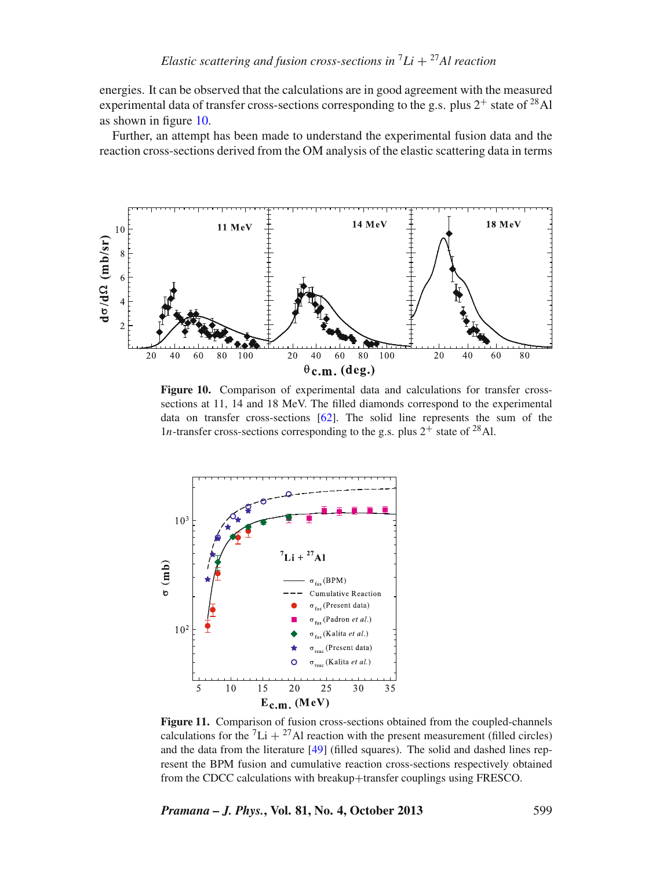energies. It can be observed that the calculations are in good agreement with the measured experimental data of transfer cross-sections corresponding to the g.s. plus  $2^+$  state of  $2^8$ Al as shown in figure [10.](#page-12-0)

Further, an attempt has been made to understand the experimental fusion data and the reaction cross-sections derived from the OM analysis of the elastic scattering data in terms

<span id="page-12-0"></span>

**Figure 10.** Comparison of experimental data and calculations for transfer crosssections at 11, 14 and 18 MeV. The filled diamonds correspond to the experimental data on transfer cross-sections  $[62]$  $[62]$ . The solid line represents the sum of the 1*n*-transfer cross-sections corresponding to the g.s. plus  $2^+$  state of <sup>28</sup>Al.

<span id="page-12-1"></span>

**Figure 11.** Comparison of fusion cross-sections obtained from the coupled-channels calculations for the  ${}^{7}Li + {}^{27}Al$  reaction with the present measurement (filled circles) and the data from the literature [\[49\]](#page-15-6) (filled squares). The solid and dashed lines represent the BPM fusion and cumulative reaction cross-sections respectively obtained from the CDCC calculations with breakup+transfer couplings using FRESCO.

*Pramana – J. Phys.***, Vol. 81, No. 4, October 2013** 599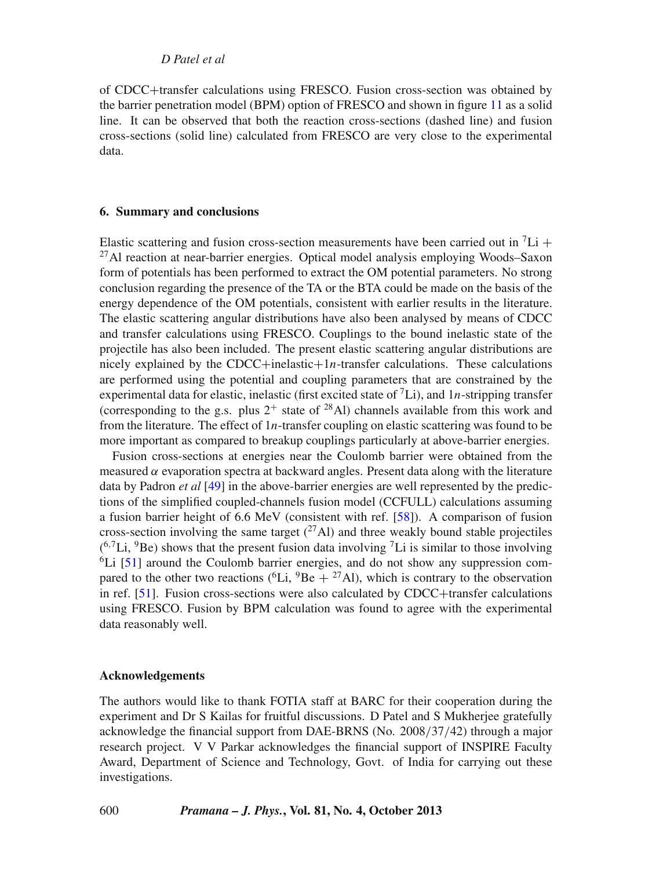of CDCC+transfer calculations using FRESCO. Fusion cross-section was obtained by the barrier penetration model (BPM) option of FRESCO and shown in figure [11](#page-12-1) as a solid line. It can be observed that both the reaction cross-sections (dashed line) and fusion cross-sections (solid line) calculated from FRESCO are very close to the experimental data.

## <span id="page-13-0"></span>**6. Summary and conclusions**

Elastic scattering and fusion cross-section measurements have been carried out in  ${}^{7}Li +{}$ 27Al reaction at near-barrier energies. Optical model analysis employing Woods–Saxon form of potentials has been performed to extract the OM potential parameters. No strong conclusion regarding the presence of the TA or the BTA could be made on the basis of the energy dependence of the OM potentials, consistent with earlier results in the literature. The elastic scattering angular distributions have also been analysed by means of CDCC and transfer calculations using FRESCO. Couplings to the bound inelastic state of the projectile has also been included. The present elastic scattering angular distributions are nicely explained by the CDCC+inelastic+1*n*-transfer calculations. These calculations are performed using the potential and coupling parameters that are constrained by the experimental data for elastic, inelastic (first excited state of 7Li), and 1*n*-stripping transfer (corresponding to the g.s. plus  $2^+$  state of <sup>28</sup>Al) channels available from this work and from the literature. The effect of 1*n*-transfer coupling on elastic scattering was found to be more important as compared to breakup couplings particularly at above-barrier energies.

Fusion cross-sections at energies near the Coulomb barrier were obtained from the measured  $\alpha$  evaporation spectra at backward angles. Present data along with the literature data by Padron *et al* [\[49\]](#page-15-6) in the above-barrier energies are well represented by the predictions of the simplified coupled-channels fusion model (CCFULL) calculations assuming a fusion barrier height of 6.6 MeV (consistent with ref. [\[58\]](#page-15-15)). A comparison of fusion cross-section involving the same target  $(^{27}$ Al) and three weakly bound stable projectiles  $(^{6,7}$ Li, <sup>9</sup>Be) shows that the present fusion data involving <sup>7</sup>Li is similar to those involving 6Li [\[51\]](#page-15-8) around the Coulomb barrier energies, and do not show any suppression compared to the other two reactions ( ${}^{6}$ Li,  ${}^{9}$ Be +  ${}^{27}$ Al), which is contrary to the observation in ref. [\[51\]](#page-15-8). Fusion cross-sections were also calculated by CDCC+transfer calculations using FRESCO. Fusion by BPM calculation was found to agree with the experimental data reasonably well.

## **Acknowledgements**

The authors would like to thank FOTIA staff at BARC for their cooperation during the experiment and Dr S Kailas for fruitful discussions. D Patel and S Mukherjee gratefully acknowledge the financial support from DAE-BRNS (No. 2008/37/42) through a major research project. V V Parkar acknowledges the financial support of INSPIRE Faculty Award, Department of Science and Technology, Govt. of India for carrying out these investigations.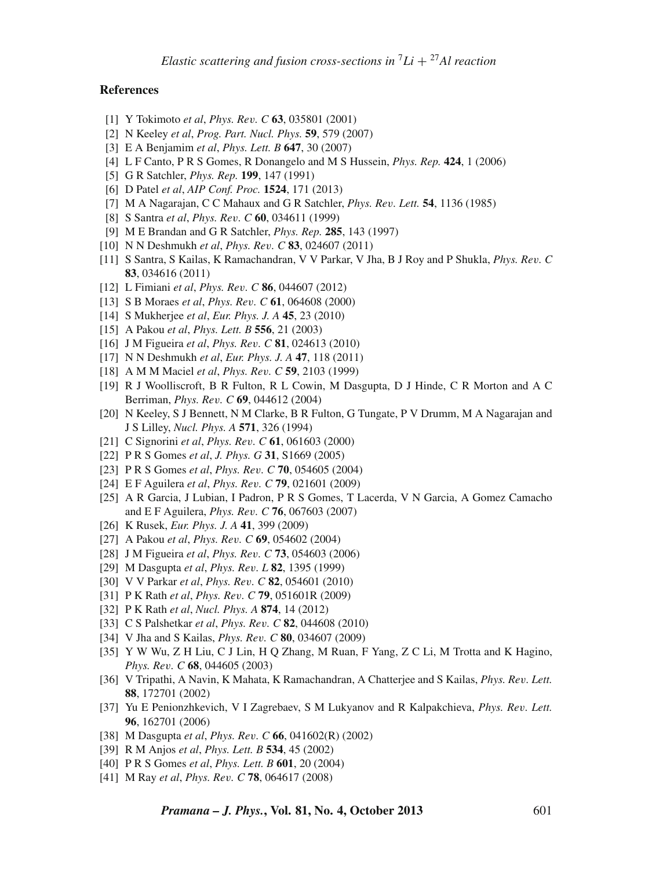#### **References**

- <span id="page-14-0"></span>[1] Y Tokimoto *et al*, *Phys. Re*v*. C* **63**, 035801 (2001)
- [2] N Keeley *et al*, *Prog. Part. Nucl. Phys.* **59**, 579 (2007)
- [3] E A Benjamim *et al*, *Phys. Lett. B* **647**, 30 (2007)
- [4] L F Canto, P R S Gomes, R Donangelo and M S Hussein, *Phys. Rep.* **424**, 1 (2006)
- <span id="page-14-2"></span>[5] G R Satchler, *Phys. Rep.* **199**, 147 (1991)
- <span id="page-14-1"></span>[6] D Patel *et al*, *AIP Conf. Proc.* **1524**, 171 (2013)
- <span id="page-14-3"></span>[7] M A Nagarajan, C C Mahaux and G R Satchler, *Phys. Re*v*. Lett.* **54**, 1136 (1985)
- [8] S Santra *et al*, *Phys. Re*v*. C* **60**, 034611 (1999)
- <span id="page-14-4"></span>[9] M E Brandan and G R Satchler, *Phys. Rep.* **285**, 143 (1997)
- <span id="page-14-5"></span>[10] N N Deshmukh *et al*, *Phys. Re*v*. C* **83**, 024607 (2011)
- <span id="page-14-16"></span>[11] S Santra, S Kailas, K Ramachandran, V V Parkar, V Jha, B J Roy and P Shukla, *Phys. Re*v*. C* **83**, 034616 (2011)
- <span id="page-14-6"></span>[12] L Fimiani *et al*, *Phys. Re*v*. C* **86**, 044607 (2012)
- <span id="page-14-7"></span>[13] S B Moraes *et al*, *Phys. Re*v*. C* **61**, 064608 (2000)
- [14] S Mukherjee *et al*, *Eur. Phys. J. A* **45**, 23 (2010)
- <span id="page-14-17"></span>[15] A Pakou *et al*, *Phys. Lett. B* **556**, 21 (2003)
- [16] J M Figueira *et al*, *Phys. Re*v*. C* **81**, 024613 (2010)
- [17] N N Deshmukh *et al*, *Eur. Phys. J. A* **47**, 118 (2011)
- <span id="page-14-11"></span>[18] A M M Maciel *et al*, *Phys. Re*v*. C* **59**, 2103 (1999)
- <span id="page-14-12"></span>[19] R J Woolliscroft, B R Fulton, R L Cowin, M Dasgupta, D J Hinde, C R Morton and A C Berriman, *Phys. Re*v*. C* **69**, 044612 (2004)
- <span id="page-14-13"></span>[20] N Keeley, S J Bennett, N M Clarke, B R Fulton, G Tungate, P V Drumm, M A Nagarajan and J S Lilley, *Nucl. Phys. A* **571**, 326 (1994)
- <span id="page-14-14"></span>[21] C Signorini *et al*, *Phys. Re*v*. C* **61**, 061603 (2000)
- <span id="page-14-15"></span>[22] P R S Gomes *et al*, *J. Phys. G* **31**, S1669 (2005)
- <span id="page-14-8"></span>[23] P R S Gomes *et al*, *Phys. Re*v*. C* **70**, 054605 (2004)
- <span id="page-14-9"></span>[24] E F Aguilera *et al*, *Phys. Re*v*. C* **79**, 021601 (2009)
- [25] A R Garcia, J Lubian, I Padron, P R S Gomes, T Lacerda, V N Garcia, A Gomez Camacho and E F Aguilera, *Phys. Re*v*. C* **76**, 067603 (2007)
- <span id="page-14-10"></span>[26] K Rusek, *Eur. Phys. J. A* **41**, 399 (2009)
- <span id="page-14-18"></span>[27] A Pakou *et al*, *Phys. Re*v*. C* **69**, 054602 (2004)
- <span id="page-14-19"></span>[28] J M Figueira *et al*, *Phys. Re*v*. C* **73**, 054603 (2006)
- <span id="page-14-20"></span>[29] M Dasgupta *et al*, *Phys. Re*v*. L* **82**, 1395 (1999)
- [30] V V Parkar *et al*, *Phys. Re*v*. C* **82**, 054601 (2010)
- [31] P K Rath *et al*, *Phys. Re*v*. C* **79**, 051601R (2009)
- [32] P K Rath *et al*, *Nucl. Phys. A* **874**, 14 (2012)
- [33] C S Palshetkar *et al*, *Phys. Re*v*. C* **82**, 044608 (2010)
- [34] V Jha and S Kailas, *Phys. Re*v*. C* **80**, 034607 (2009)
- [35] Y W Wu, Z H Liu, C J Lin, H Q Zhang, M Ruan, F Yang, Z C Li, M Trotta and K Hagino, *Phys. Re*v*. C* **68**, 044605 (2003)
- [36] V Tripathi, A Navin, K Mahata, K Ramachandran, A Chatterjee and S Kailas, *Phys. Re*v*. Lett.* **88**, 172701 (2002)
- [37] Yu E Penionzhkevich, V I Zagrebaev, S M Lukyanov and R Kalpakchieva, *Phys. Re*v*. Lett.* **96**, 162701 (2006)
- <span id="page-14-21"></span>[38] M Dasgupta *et al*, *Phys. Re*v*. C* **66**, 041602(R) (2002)
- <span id="page-14-22"></span>[39] R M Anjos *et al*, *Phys. Lett. B* **534**, 45 (2002)
- <span id="page-14-23"></span>[40] P R S Gomes *et al*, *Phys. Lett. B* **601**, 20 (2004)
- <span id="page-14-24"></span>[41] M Ray *et al*, *Phys. Re*v*. C* **78**, 064617 (2008)